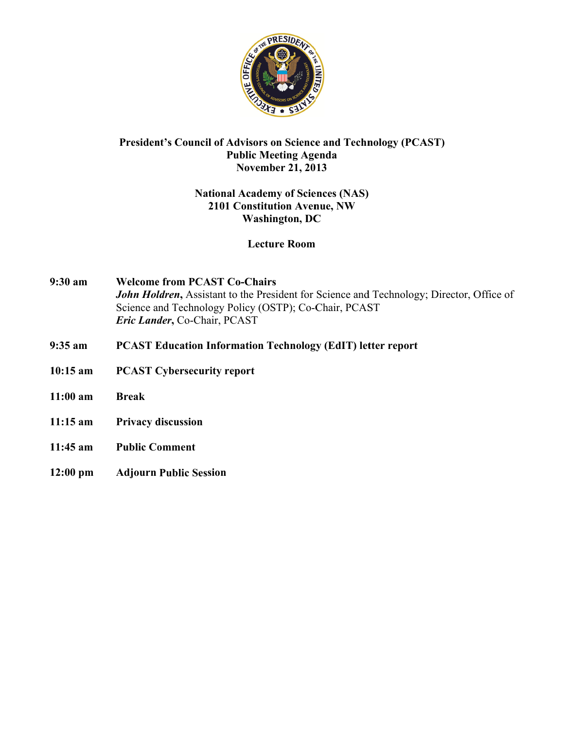

# **President's Council of Advisors on Science and Technology (PCAST) Public Meeting Agenda November 21, 2013**

# **National Academy of Sciences (NAS)** 2101 Constitution Avenue, NW **Washington, DC**

## **Lecture Room**

- $9:30$  am **Welcome from PCAST Co-Chairs** John Holdren, Assistant to the President for Science and Technology; Director, Office of Science and Technology Policy (OSTP); Co-Chair, PCAST Eric Lander, Co-Chair, PCAST
- $9:35$  am **PCAST Education Information Technology (EdIT) letter report**
- $10:15$  am **PCAST Cybersecurity report**
- $11:00$  am **Break**
- $11:15 \text{ am}$ **Privacy discussion**
- $11:45$  am **Public Comment**
- $12:00$  pm **Adjourn Public Session**